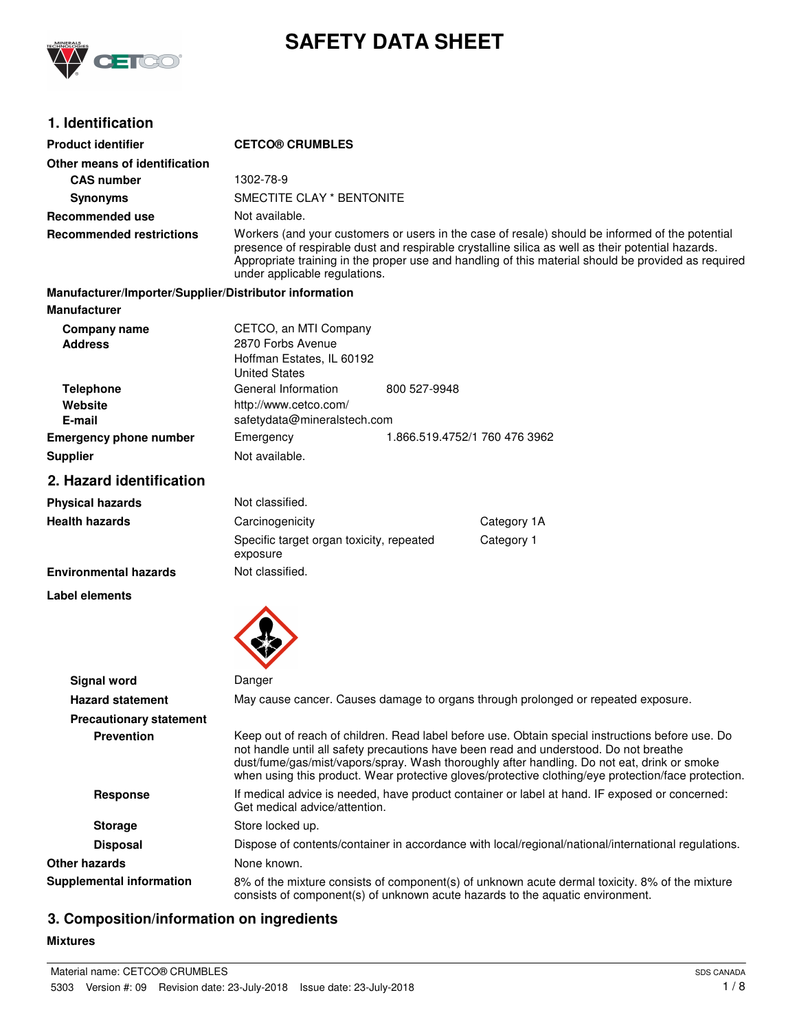

# **SAFETY DATA SHEET**

## **1. Identification**

| <b>Product identifier</b>                              | <b>CETCO® CRUMBLES</b>                                                                                                                                                                                                                                                                                                                                                                          |  |  |
|--------------------------------------------------------|-------------------------------------------------------------------------------------------------------------------------------------------------------------------------------------------------------------------------------------------------------------------------------------------------------------------------------------------------------------------------------------------------|--|--|
| Other means of identification                          |                                                                                                                                                                                                                                                                                                                                                                                                 |  |  |
| <b>CAS number</b>                                      | 1302-78-9                                                                                                                                                                                                                                                                                                                                                                                       |  |  |
| <b>Synonyms</b>                                        | SMECTITE CLAY * BENTONITE                                                                                                                                                                                                                                                                                                                                                                       |  |  |
| <b>Recommended use</b>                                 | Not available.                                                                                                                                                                                                                                                                                                                                                                                  |  |  |
| <b>Recommended restrictions</b>                        | Workers (and your customers or users in the case of resale) should be informed of the potential<br>presence of respirable dust and respirable crystalline silica as well as their potential hazards.<br>Appropriate training in the proper use and handling of this material should be provided as required<br>under applicable regulations.                                                    |  |  |
| Manufacturer/Importer/Supplier/Distributor information |                                                                                                                                                                                                                                                                                                                                                                                                 |  |  |
| <b>Manufacturer</b>                                    |                                                                                                                                                                                                                                                                                                                                                                                                 |  |  |
| Company name<br><b>Address</b>                         | CETCO, an MTI Company<br>2870 Forbs Avenue<br>Hoffman Estates, IL 60192<br><b>United States</b>                                                                                                                                                                                                                                                                                                 |  |  |
| <b>Telephone</b><br>Website<br>E-mail                  | General Information<br>800 527-9948<br>http://www.cetco.com/<br>safetydata@mineralstech.com                                                                                                                                                                                                                                                                                                     |  |  |
| <b>Emergency phone number</b>                          | Emergency<br>1.866.519.4752/1 760 476 3962                                                                                                                                                                                                                                                                                                                                                      |  |  |
| <b>Supplier</b>                                        | Not available.                                                                                                                                                                                                                                                                                                                                                                                  |  |  |
| 2. Hazard identification                               |                                                                                                                                                                                                                                                                                                                                                                                                 |  |  |
| <b>Physical hazards</b>                                | Not classified.                                                                                                                                                                                                                                                                                                                                                                                 |  |  |
| <b>Health hazards</b>                                  | Carcinogenicity<br>Category 1A                                                                                                                                                                                                                                                                                                                                                                  |  |  |
|                                                        | Category 1<br>Specific target organ toxicity, repeated<br>exposure                                                                                                                                                                                                                                                                                                                              |  |  |
| <b>Environmental hazards</b>                           | Not classified.                                                                                                                                                                                                                                                                                                                                                                                 |  |  |
| Label elements                                         |                                                                                                                                                                                                                                                                                                                                                                                                 |  |  |
| Signal word                                            | Danger                                                                                                                                                                                                                                                                                                                                                                                          |  |  |
| <b>Hazard statement</b>                                | May cause cancer. Causes damage to organs through prolonged or repeated exposure.                                                                                                                                                                                                                                                                                                               |  |  |
| <b>Precautionary statement</b>                         |                                                                                                                                                                                                                                                                                                                                                                                                 |  |  |
| <b>Prevention</b>                                      | Keep out of reach of children. Read label before use. Obtain special instructions before use. Do<br>not handle until all safety precautions have been read and understood. Do not breathe<br>dust/fume/gas/mist/vapors/spray. Wash thoroughly after handling. Do not eat, drink or smoke<br>when using this product. Wear protective gloves/protective clothing/eye protection/face protection. |  |  |
| <b>Response</b>                                        | If medical advice is needed, have product container or label at hand. IF exposed or concerned:<br>Get medical advice/attention.                                                                                                                                                                                                                                                                 |  |  |
| <b>Storage</b>                                         | Store locked up.                                                                                                                                                                                                                                                                                                                                                                                |  |  |
| <b>Disposal</b>                                        | Dispose of contents/container in accordance with local/regional/national/international regulations.                                                                                                                                                                                                                                                                                             |  |  |
| <b>Other hazards</b>                                   | None known.                                                                                                                                                                                                                                                                                                                                                                                     |  |  |
| <b>Supplemental information</b>                        | 8% of the mixture consists of component(s) of unknown acute dermal toxicity. 8% of the mixture<br>consists of component(s) of unknown acute hazards to the aquatic environment.                                                                                                                                                                                                                 |  |  |

# **3. Composition/information on ingredients**

#### **Mixtures**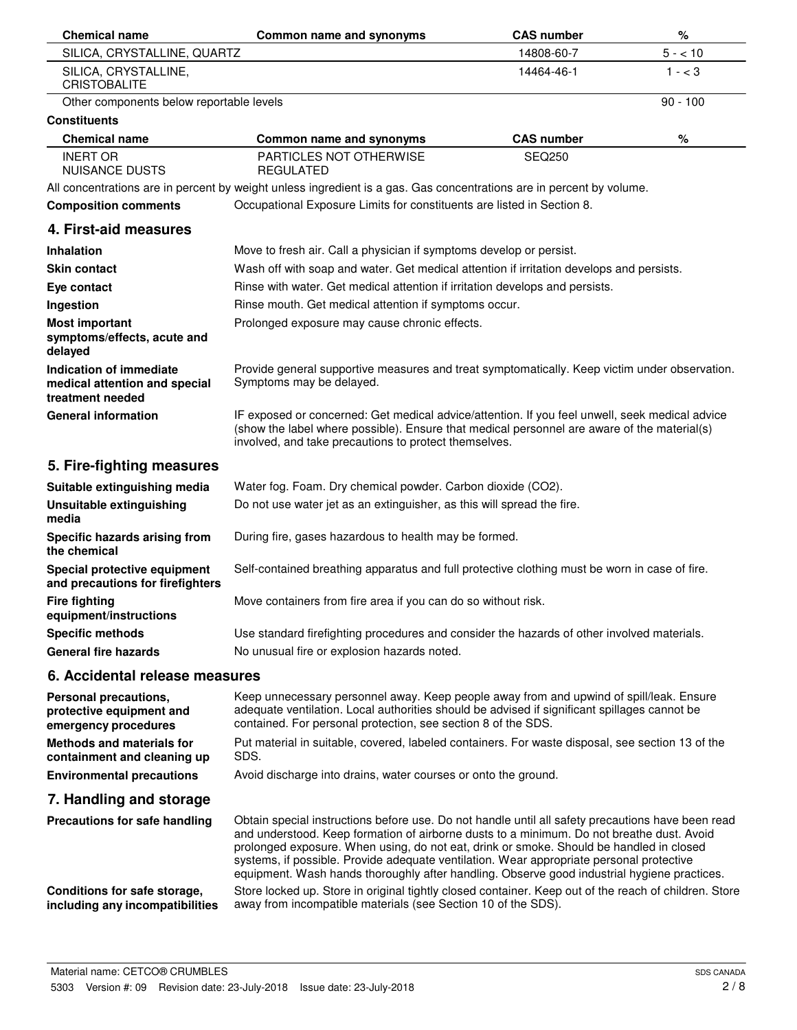| <b>Chemical name</b>                                                         | Common name and synonyms                                                                                                                                                                                                                                                                                                                                                                                                                                                             | <b>CAS number</b> | %          |
|------------------------------------------------------------------------------|--------------------------------------------------------------------------------------------------------------------------------------------------------------------------------------------------------------------------------------------------------------------------------------------------------------------------------------------------------------------------------------------------------------------------------------------------------------------------------------|-------------------|------------|
| SILICA, CRYSTALLINE, QUARTZ                                                  |                                                                                                                                                                                                                                                                                                                                                                                                                                                                                      | 14808-60-7        | $5 - 10$   |
| SILICA, CRYSTALLINE,<br><b>CRISTOBALITE</b>                                  |                                                                                                                                                                                                                                                                                                                                                                                                                                                                                      | 14464-46-1        | $1 - < 3$  |
| Other components below reportable levels                                     |                                                                                                                                                                                                                                                                                                                                                                                                                                                                                      |                   | $90 - 100$ |
| <b>Constituents</b>                                                          |                                                                                                                                                                                                                                                                                                                                                                                                                                                                                      |                   |            |
| <b>Chemical name</b>                                                         | Common name and synonyms                                                                                                                                                                                                                                                                                                                                                                                                                                                             | <b>CAS number</b> | %          |
| <b>INERT OR</b><br><b>NUISANCE DUSTS</b>                                     | PARTICLES NOT OTHERWISE<br><b>REGULATED</b>                                                                                                                                                                                                                                                                                                                                                                                                                                          | <b>SEQ250</b>     |            |
|                                                                              | All concentrations are in percent by weight unless ingredient is a gas. Gas concentrations are in percent by volume.                                                                                                                                                                                                                                                                                                                                                                 |                   |            |
| <b>Composition comments</b>                                                  | Occupational Exposure Limits for constituents are listed in Section 8.                                                                                                                                                                                                                                                                                                                                                                                                               |                   |            |
| 4. First-aid measures                                                        |                                                                                                                                                                                                                                                                                                                                                                                                                                                                                      |                   |            |
| Inhalation                                                                   | Move to fresh air. Call a physician if symptoms develop or persist.                                                                                                                                                                                                                                                                                                                                                                                                                  |                   |            |
| <b>Skin contact</b>                                                          | Wash off with soap and water. Get medical attention if irritation develops and persists.                                                                                                                                                                                                                                                                                                                                                                                             |                   |            |
| Eye contact                                                                  | Rinse with water. Get medical attention if irritation develops and persists.                                                                                                                                                                                                                                                                                                                                                                                                         |                   |            |
| Ingestion                                                                    | Rinse mouth. Get medical attention if symptoms occur.                                                                                                                                                                                                                                                                                                                                                                                                                                |                   |            |
| <b>Most important</b><br>symptoms/effects, acute and<br>delayed              | Prolonged exposure may cause chronic effects.                                                                                                                                                                                                                                                                                                                                                                                                                                        |                   |            |
| Indication of immediate<br>medical attention and special<br>treatment needed | Provide general supportive measures and treat symptomatically. Keep victim under observation.<br>Symptoms may be delayed.                                                                                                                                                                                                                                                                                                                                                            |                   |            |
| <b>General information</b>                                                   | IF exposed or concerned: Get medical advice/attention. If you feel unwell, seek medical advice<br>(show the label where possible). Ensure that medical personnel are aware of the material(s)<br>involved, and take precautions to protect themselves.                                                                                                                                                                                                                               |                   |            |
| 5. Fire-fighting measures                                                    |                                                                                                                                                                                                                                                                                                                                                                                                                                                                                      |                   |            |
| Suitable extinguishing media                                                 | Water fog. Foam. Dry chemical powder. Carbon dioxide (CO2).                                                                                                                                                                                                                                                                                                                                                                                                                          |                   |            |
| Unsuitable extinguishing<br>media                                            | Do not use water jet as an extinguisher, as this will spread the fire.                                                                                                                                                                                                                                                                                                                                                                                                               |                   |            |
| Specific hazards arising from<br>the chemical                                | During fire, gases hazardous to health may be formed.                                                                                                                                                                                                                                                                                                                                                                                                                                |                   |            |
| Special protective equipment<br>and precautions for firefighters             | Self-contained breathing apparatus and full protective clothing must be worn in case of fire.                                                                                                                                                                                                                                                                                                                                                                                        |                   |            |
| <b>Fire fighting</b><br>equipment/instructions                               | Move containers from fire area if you can do so without risk.                                                                                                                                                                                                                                                                                                                                                                                                                        |                   |            |
| <b>Specific methods</b>                                                      | Use standard firefighting procedures and consider the hazards of other involved materials.                                                                                                                                                                                                                                                                                                                                                                                           |                   |            |
| <b>General fire hazards</b>                                                  | No unusual fire or explosion hazards noted.                                                                                                                                                                                                                                                                                                                                                                                                                                          |                   |            |
| 6. Accidental release measures                                               |                                                                                                                                                                                                                                                                                                                                                                                                                                                                                      |                   |            |
| Personal precautions,<br>protective equipment and<br>emergency procedures    | Keep unnecessary personnel away. Keep people away from and upwind of spill/leak. Ensure<br>adequate ventilation. Local authorities should be advised if significant spillages cannot be<br>contained. For personal protection, see section 8 of the SDS.                                                                                                                                                                                                                             |                   |            |
| <b>Methods and materials for</b><br>containment and cleaning up              | Put material in suitable, covered, labeled containers. For waste disposal, see section 13 of the<br>SDS.                                                                                                                                                                                                                                                                                                                                                                             |                   |            |
| <b>Environmental precautions</b>                                             | Avoid discharge into drains, water courses or onto the ground.                                                                                                                                                                                                                                                                                                                                                                                                                       |                   |            |
| 7. Handling and storage                                                      |                                                                                                                                                                                                                                                                                                                                                                                                                                                                                      |                   |            |
| Precautions for safe handling                                                | Obtain special instructions before use. Do not handle until all safety precautions have been read<br>and understood. Keep formation of airborne dusts to a minimum. Do not breathe dust. Avoid<br>prolonged exposure. When using, do not eat, drink or smoke. Should be handled in closed<br>systems, if possible. Provide adequate ventilation. Wear appropriate personal protective<br>equipment. Wash hands thoroughly after handling. Observe good industrial hygiene practices. |                   |            |
| Conditions for safe storage,<br>including any incompatibilities              | Store locked up. Store in original tightly closed container. Keep out of the reach of children. Store<br>away from incompatible materials (see Section 10 of the SDS).                                                                                                                                                                                                                                                                                                               |                   |            |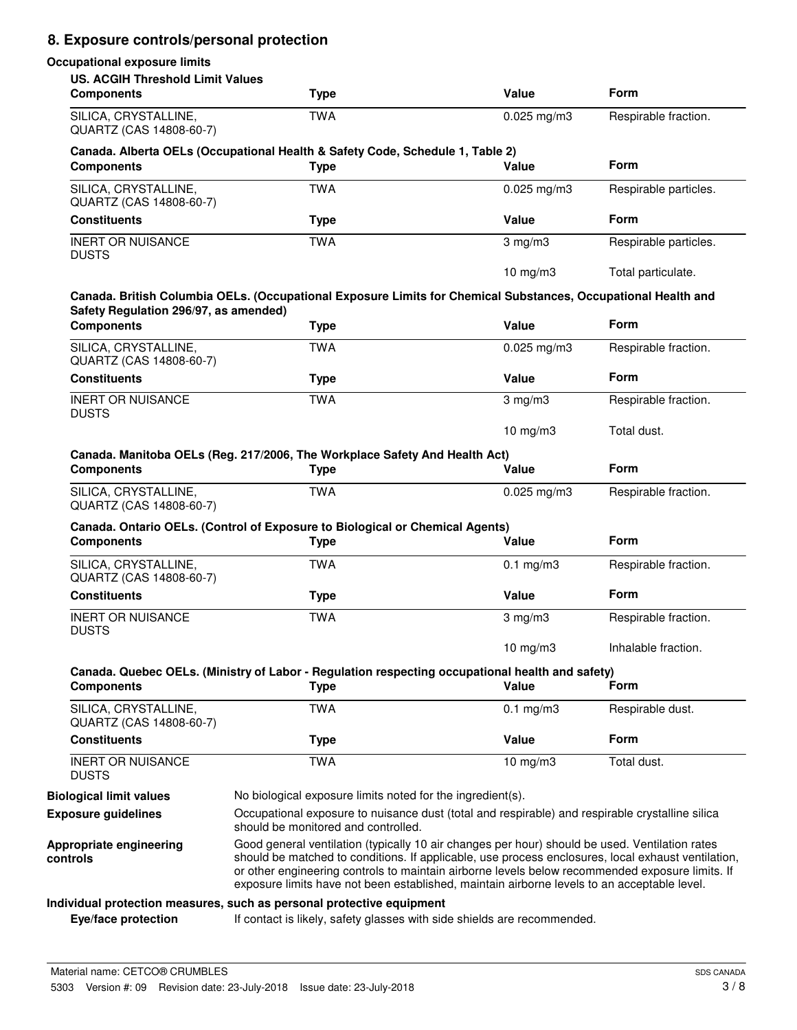# **8. Exposure controls/personal protection**

#### **Occupational exposure limits**

| <b>US. ACGIH Threshold Limit Values</b><br><b>Components</b> | <b>Type</b>                                                                                                                                                                                                                                                                                                                                                                                            | Value                | <b>Form</b>           |
|--------------------------------------------------------------|--------------------------------------------------------------------------------------------------------------------------------------------------------------------------------------------------------------------------------------------------------------------------------------------------------------------------------------------------------------------------------------------------------|----------------------|-----------------------|
| SILICA, CRYSTALLINE,<br>QUARTZ (CAS 14808-60-7)              | <b>TWA</b>                                                                                                                                                                                                                                                                                                                                                                                             | $0.025$ mg/m3        | Respirable fraction.  |
| <b>Components</b>                                            | Canada. Alberta OELs (Occupational Health & Safety Code, Schedule 1, Table 2)<br><b>Type</b>                                                                                                                                                                                                                                                                                                           | Value                | <b>Form</b>           |
| SILICA, CRYSTALLINE,<br>QUARTZ (CAS 14808-60-7)              | <b>TWA</b>                                                                                                                                                                                                                                                                                                                                                                                             | $0.025$ mg/m3        | Respirable particles. |
| <b>Constituents</b>                                          | <b>Type</b>                                                                                                                                                                                                                                                                                                                                                                                            | <b>Value</b>         | <b>Form</b>           |
| <b>INERT OR NUISANCE</b><br><b>DUSTS</b>                     | <b>TWA</b>                                                                                                                                                                                                                                                                                                                                                                                             | $3 \text{ mg/m}$     | Respirable particles. |
|                                                              | Canada. British Columbia OELs. (Occupational Exposure Limits for Chemical Substances, Occupational Health and                                                                                                                                                                                                                                                                                          | $10$ mg/m $3$        | Total particulate.    |
| Safety Regulation 296/97, as amended)<br><b>Components</b>   | <b>Type</b>                                                                                                                                                                                                                                                                                                                                                                                            | Value                | <b>Form</b>           |
| SILICA, CRYSTALLINE,<br>QUARTZ (CAS 14808-60-7)              | <b>TWA</b>                                                                                                                                                                                                                                                                                                                                                                                             | $0.025$ mg/m3        | Respirable fraction.  |
| <b>Constituents</b>                                          | <b>Type</b>                                                                                                                                                                                                                                                                                                                                                                                            | Value                | Form                  |
| <b>INERT OR NUISANCE</b><br><b>DUSTS</b>                     | <b>TWA</b>                                                                                                                                                                                                                                                                                                                                                                                             | $3 \text{ mg/m}$     | Respirable fraction.  |
|                                                              |                                                                                                                                                                                                                                                                                                                                                                                                        | 10 mg/m $3$          | Total dust.           |
| <b>Components</b>                                            | Canada. Manitoba OELs (Reg. 217/2006, The Workplace Safety And Health Act)<br><b>Type</b>                                                                                                                                                                                                                                                                                                              | Value                | <b>Form</b>           |
| SILICA, CRYSTALLINE,<br>QUARTZ (CAS 14808-60-7)              | <b>TWA</b>                                                                                                                                                                                                                                                                                                                                                                                             | $0.025$ mg/m3        | Respirable fraction.  |
|                                                              | Canada. Ontario OELs. (Control of Exposure to Biological or Chemical Agents)                                                                                                                                                                                                                                                                                                                           |                      |                       |
| <b>Components</b>                                            | <b>Type</b>                                                                                                                                                                                                                                                                                                                                                                                            | Value                | <b>Form</b>           |
| SILICA, CRYSTALLINE,<br>QUARTZ (CAS 14808-60-7)              | <b>TWA</b>                                                                                                                                                                                                                                                                                                                                                                                             | $0.1 \text{ mg/m}$ 3 | Respirable fraction.  |
| <b>Constituents</b>                                          | <b>Type</b>                                                                                                                                                                                                                                                                                                                                                                                            | Value                | <b>Form</b>           |
| <b>INERT OR NUISANCE</b><br><b>DUSTS</b>                     | <b>TWA</b>                                                                                                                                                                                                                                                                                                                                                                                             | $3 \text{ mg/m}$     | Respirable fraction.  |
|                                                              |                                                                                                                                                                                                                                                                                                                                                                                                        | 10 $mg/m3$           | Inhalable fraction.   |
| <b>Components</b>                                            | Canada. Quebec OELs. (Ministry of Labor - Regulation respecting occupational health and safety)<br><b>Type</b>                                                                                                                                                                                                                                                                                         | Value                | Form                  |
| SILICA, CRYSTALLINE,<br>QUARTZ (CAS 14808-60-7)              | <b>TWA</b>                                                                                                                                                                                                                                                                                                                                                                                             | $0.1$ mg/m3          | Respirable dust.      |
| <b>Constituents</b>                                          | <b>Type</b>                                                                                                                                                                                                                                                                                                                                                                                            | Value                | Form                  |
| <b>INERT OR NUISANCE</b><br><b>DUSTS</b>                     | <b>TWA</b>                                                                                                                                                                                                                                                                                                                                                                                             | 10 mg/m3             | Total dust.           |
| <b>Biological limit values</b>                               | No biological exposure limits noted for the ingredient(s).                                                                                                                                                                                                                                                                                                                                             |                      |                       |
| <b>Exposure guidelines</b>                                   | Occupational exposure to nuisance dust (total and respirable) and respirable crystalline silica<br>should be monitored and controlled.                                                                                                                                                                                                                                                                 |                      |                       |
| Appropriate engineering<br>controls                          | Good general ventilation (typically 10 air changes per hour) should be used. Ventilation rates<br>should be matched to conditions. If applicable, use process enclosures, local exhaust ventilation,<br>or other engineering controls to maintain airborne levels below recommended exposure limits. If<br>exposure limits have not been established, maintain airborne levels to an acceptable level. |                      |                       |
|                                                              | Individual protection measures, such as personal protective equipment                                                                                                                                                                                                                                                                                                                                  |                      |                       |
| Eye/face protection                                          | If contact is likely, safety glasses with side shields are recommended.                                                                                                                                                                                                                                                                                                                                |                      |                       |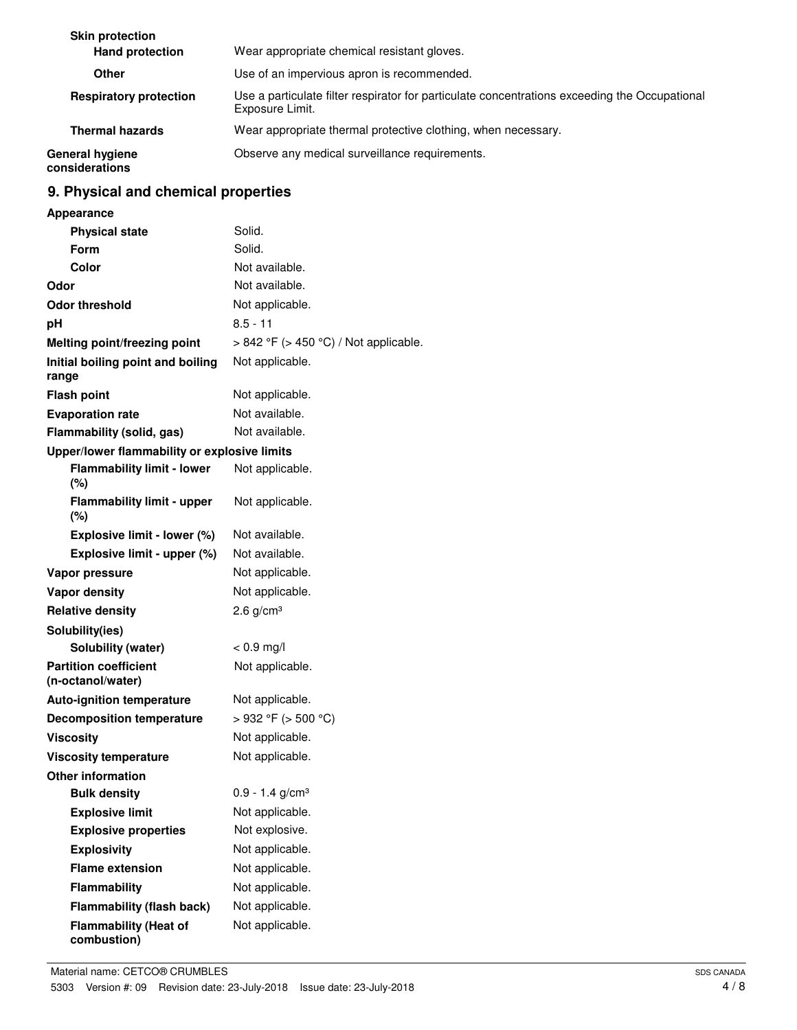| <b>Skin protection</b>            | Wear appropriate chemical resistant gloves.                                                                      |
|-----------------------------------|------------------------------------------------------------------------------------------------------------------|
| <b>Hand protection</b>            |                                                                                                                  |
| Other                             | Use of an impervious apron is recommended.                                                                       |
| <b>Respiratory protection</b>     | Use a particulate filter respirator for particulate concentrations exceeding the Occupational<br>Exposure Limit. |
| <b>Thermal hazards</b>            | Wear appropriate thermal protective clothing, when necessary.                                                    |
| General hygiene<br>considerations | Observe any medical surveillance requirements.                                                                   |

## **9. Physical and chemical properties**

| <b>Appearance</b>                                 |                                       |
|---------------------------------------------------|---------------------------------------|
| <b>Physical state</b>                             | Solid.                                |
| Form                                              | Solid.                                |
| Color                                             | Not available.                        |
| Odor                                              | Not available.                        |
| <b>Odor threshold</b>                             | Not applicable.                       |
| рH                                                | $8.5 - 11$                            |
| Melting point/freezing point                      | > 842 °F (> 450 °C) / Not applicable. |
| Initial boiling point and boiling<br>range        | Not applicable.                       |
| <b>Flash point</b>                                | Not applicable.                       |
| <b>Evaporation rate</b>                           | Not available.                        |
| Flammability (solid, gas)                         | Not available.                        |
| Upper/lower flammability or explosive limits      |                                       |
| <b>Flammability limit - lower</b>                 | Not applicable.                       |
| $(\%)$                                            |                                       |
| <b>Flammability limit - upper</b>                 | Not applicable.                       |
| $(\%)$                                            |                                       |
| Explosive limit - lower (%)                       | Not available.                        |
| Explosive limit - upper (%)                       | Not available.                        |
| Vapor pressure                                    | Not applicable.                       |
| <b>Vapor density</b>                              | Not applicable.                       |
| <b>Relative density</b>                           | $2.6$ g/cm <sup>3</sup>               |
| Solubility(ies)                                   |                                       |
| Solubility (water)                                | $< 0.9$ mg/l                          |
| <b>Partition coefficient</b><br>(n-octanol/water) | Not applicable.                       |
| <b>Auto-ignition temperature</b>                  | Not applicable.                       |
| <b>Decomposition temperature</b>                  | $>932$ °F ( $>500$ °C)                |
| <b>Viscosity</b>                                  | Not applicable.                       |
| <b>Viscosity temperature</b>                      | Not applicable.                       |
| <b>Other information</b>                          |                                       |
| <b>Bulk density</b>                               | $0.9 - 1.4$ g/cm <sup>3</sup>         |
| <b>Explosive limit</b>                            | Not applicable.                       |
| <b>Explosive properties</b>                       | Not explosive.                        |
| <b>Explosivity</b>                                | Not applicable.                       |
| <b>Flame extension</b>                            | Not applicable.                       |
| Flammability                                      | Not applicable.                       |
| <b>Flammability (flash back)</b>                  | Not applicable.                       |
| <b>Flammability (Heat of</b>                      | Not applicable.                       |
| combustion)                                       |                                       |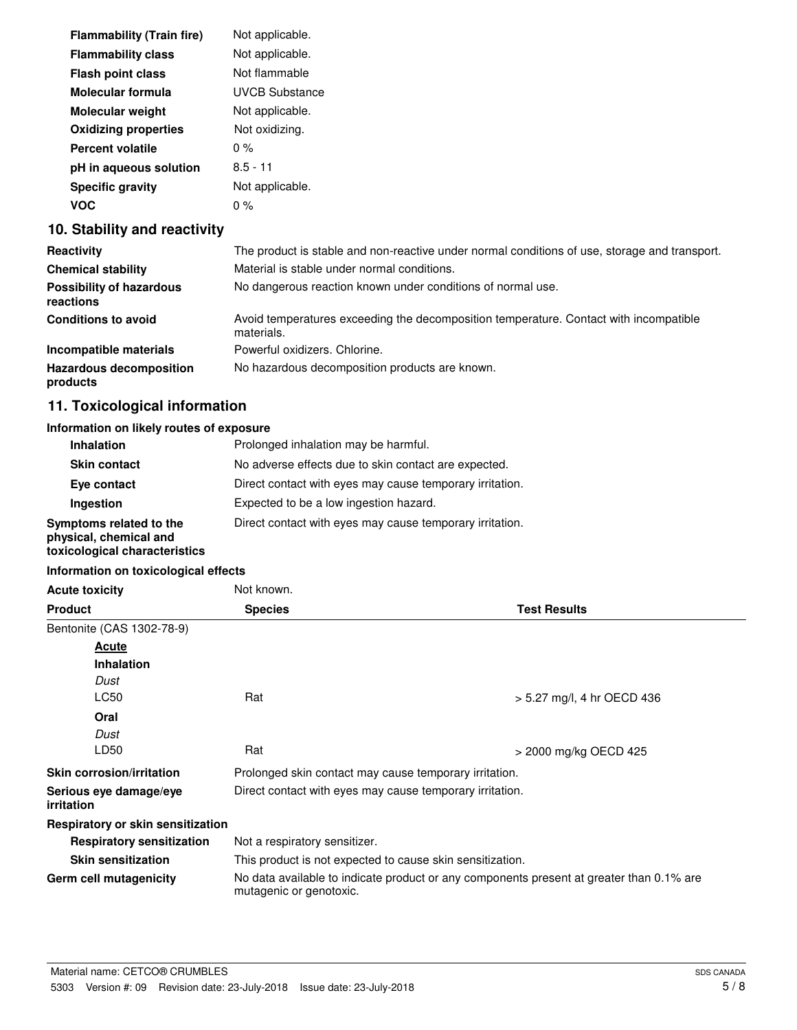| <b>Flammability (Train fire)</b> | Not applicable.       |
|----------------------------------|-----------------------|
| <b>Flammability class</b>        | Not applicable.       |
| <b>Flash point class</b>         | Not flammable         |
| Molecular formula                | <b>UVCB Substance</b> |
| <b>Molecular weight</b>          | Not applicable.       |
| <b>Oxidizing properties</b>      | Not oxidizing.        |
| <b>Percent volatile</b>          | $0\%$                 |
| pH in aqueous solution           | $8.5 - 11$            |
| <b>Specific gravity</b>          | Not applicable.       |
| voc                              | 0 %                   |

#### **10. Stability and reactivity**

| Reactivity                                   | The product is stable and non-reactive under normal conditions of use, storage and transport.       |
|----------------------------------------------|-----------------------------------------------------------------------------------------------------|
| <b>Chemical stability</b>                    | Material is stable under normal conditions.                                                         |
| <b>Possibility of hazardous</b><br>reactions | No dangerous reaction known under conditions of normal use.                                         |
| <b>Conditions to avoid</b>                   | Avoid temperatures exceeding the decomposition temperature. Contact with incompatible<br>materials. |
| Incompatible materials                       | Powerful oxidizers, Chlorine.                                                                       |
| <b>Hazardous decomposition</b><br>products   | No hazardous decomposition products are known.                                                      |

## **11. Toxicological information**

#### **Information on likely routes of exposure**

| <b>Inhalation</b>                                                                  | Prolonged inhalation may be harmful.                     |
|------------------------------------------------------------------------------------|----------------------------------------------------------|
| <b>Skin contact</b>                                                                | No adverse effects due to skin contact are expected.     |
| Eye contact                                                                        | Direct contact with eyes may cause temporary irritation. |
| Ingestion                                                                          | Expected to be a low ingestion hazard.                   |
| Symptoms related to the<br>physical, chemical and<br>toxicological characteristics | Direct contact with eyes may cause temporary irritation. |

#### **Information on toxicological effects**

| <b>Acute toxicity</b>                    | Not known.                                                                                                          |                            |
|------------------------------------------|---------------------------------------------------------------------------------------------------------------------|----------------------------|
| <b>Product</b>                           | <b>Species</b>                                                                                                      | <b>Test Results</b>        |
| Bentonite (CAS 1302-78-9)                |                                                                                                                     |                            |
| Acute                                    |                                                                                                                     |                            |
| <b>Inhalation</b>                        |                                                                                                                     |                            |
| Dust                                     |                                                                                                                     |                            |
| LC50                                     | Rat                                                                                                                 | > 5.27 mg/l, 4 hr OECD 436 |
| Oral                                     |                                                                                                                     |                            |
| Dust                                     |                                                                                                                     |                            |
| LD50                                     | Rat                                                                                                                 | > 2000 mg/kg OECD 425      |
| <b>Skin corrosion/irritation</b>         | Prolonged skin contact may cause temporary irritation.                                                              |                            |
| Serious eye damage/eye<br>irritation     | Direct contact with eyes may cause temporary irritation.                                                            |                            |
| <b>Respiratory or skin sensitization</b> |                                                                                                                     |                            |
| <b>Respiratory sensitization</b>         | Not a respiratory sensitizer.                                                                                       |                            |
| <b>Skin sensitization</b>                | This product is not expected to cause skin sensitization.                                                           |                            |
| Germ cell mutagenicity                   | No data available to indicate product or any components present at greater than 0.1% are<br>mutagenic or genotoxic. |                            |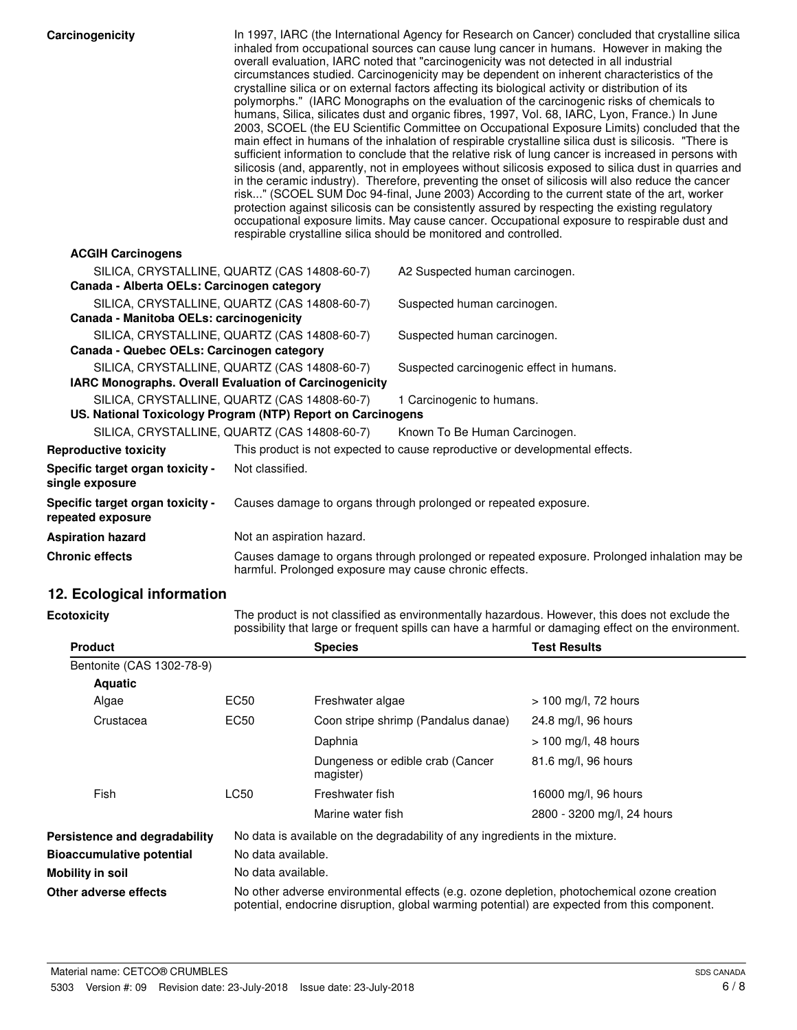| Carcinogenicity                                                                                             | In 1997, IARC (the International Agency for Research on Cancer) concluded that crystalline silica<br>inhaled from occupational sources can cause lung cancer in humans. However in making the<br>overall evaluation, IARC noted that "carcinogenicity was not detected in all industrial<br>circumstances studied. Carcinogenicity may be dependent on inherent characteristics of the<br>crystalline silica or on external factors affecting its biological activity or distribution of its<br>polymorphs." (IARC Monographs on the evaluation of the carcinogenic risks of chemicals to<br>humans, Silica, silicates dust and organic fibres, 1997, Vol. 68, IARC, Lyon, France.) In June<br>2003, SCOEL (the EU Scientific Committee on Occupational Exposure Limits) concluded that the<br>main effect in humans of the inhalation of respirable crystalline silica dust is silicosis. "There is<br>sufficient information to conclude that the relative risk of lung cancer is increased in persons with<br>silicosis (and, apparently, not in employees without silicosis exposed to silica dust in quarries and<br>in the ceramic industry). Therefore, preventing the onset of silicosis will also reduce the cancer<br>risk" (SCOEL SUM Doc 94-final, June 2003) According to the current state of the art, worker<br>protection against silicosis can be consistently assured by respecting the existing regulatory<br>occupational exposure limits. May cause cancer. Occupational exposure to respirable dust and<br>respirable crystalline silica should be monitored and controlled. |                  |                                                                              |                                                                                                                                                                                                       |
|-------------------------------------------------------------------------------------------------------------|----------------------------------------------------------------------------------------------------------------------------------------------------------------------------------------------------------------------------------------------------------------------------------------------------------------------------------------------------------------------------------------------------------------------------------------------------------------------------------------------------------------------------------------------------------------------------------------------------------------------------------------------------------------------------------------------------------------------------------------------------------------------------------------------------------------------------------------------------------------------------------------------------------------------------------------------------------------------------------------------------------------------------------------------------------------------------------------------------------------------------------------------------------------------------------------------------------------------------------------------------------------------------------------------------------------------------------------------------------------------------------------------------------------------------------------------------------------------------------------------------------------------------------------------------------------------------------------------------|------------------|------------------------------------------------------------------------------|-------------------------------------------------------------------------------------------------------------------------------------------------------------------------------------------------------|
| <b>ACGIH Carcinogens</b>                                                                                    |                                                                                                                                                                                                                                                                                                                                                                                                                                                                                                                                                                                                                                                                                                                                                                                                                                                                                                                                                                                                                                                                                                                                                                                                                                                                                                                                                                                                                                                                                                                                                                                                    |                  |                                                                              |                                                                                                                                                                                                       |
| SILICA, CRYSTALLINE, QUARTZ (CAS 14808-60-7)<br>Canada - Alberta OELs: Carcinogen category                  |                                                                                                                                                                                                                                                                                                                                                                                                                                                                                                                                                                                                                                                                                                                                                                                                                                                                                                                                                                                                                                                                                                                                                                                                                                                                                                                                                                                                                                                                                                                                                                                                    |                  | A2 Suspected human carcinogen.                                               |                                                                                                                                                                                                       |
| SILICA, CRYSTALLINE, QUARTZ (CAS 14808-60-7)                                                                |                                                                                                                                                                                                                                                                                                                                                                                                                                                                                                                                                                                                                                                                                                                                                                                                                                                                                                                                                                                                                                                                                                                                                                                                                                                                                                                                                                                                                                                                                                                                                                                                    |                  | Suspected human carcinogen.                                                  |                                                                                                                                                                                                       |
| Canada - Manitoba OELs: carcinogenicity                                                                     |                                                                                                                                                                                                                                                                                                                                                                                                                                                                                                                                                                                                                                                                                                                                                                                                                                                                                                                                                                                                                                                                                                                                                                                                                                                                                                                                                                                                                                                                                                                                                                                                    |                  |                                                                              |                                                                                                                                                                                                       |
| SILICA, CRYSTALLINE, QUARTZ (CAS 14808-60-7)                                                                |                                                                                                                                                                                                                                                                                                                                                                                                                                                                                                                                                                                                                                                                                                                                                                                                                                                                                                                                                                                                                                                                                                                                                                                                                                                                                                                                                                                                                                                                                                                                                                                                    |                  | Suspected human carcinogen.                                                  |                                                                                                                                                                                                       |
| Canada - Quebec OELs: Carcinogen category                                                                   |                                                                                                                                                                                                                                                                                                                                                                                                                                                                                                                                                                                                                                                                                                                                                                                                                                                                                                                                                                                                                                                                                                                                                                                                                                                                                                                                                                                                                                                                                                                                                                                                    |                  |                                                                              |                                                                                                                                                                                                       |
| SILICA, CRYSTALLINE, QUARTZ (CAS 14808-60-7)<br>IARC Monographs. Overall Evaluation of Carcinogenicity      |                                                                                                                                                                                                                                                                                                                                                                                                                                                                                                                                                                                                                                                                                                                                                                                                                                                                                                                                                                                                                                                                                                                                                                                                                                                                                                                                                                                                                                                                                                                                                                                                    |                  | Suspected carcinogenic effect in humans.                                     |                                                                                                                                                                                                       |
| SILICA, CRYSTALLINE, QUARTZ (CAS 14808-60-7)<br>US. National Toxicology Program (NTP) Report on Carcinogens |                                                                                                                                                                                                                                                                                                                                                                                                                                                                                                                                                                                                                                                                                                                                                                                                                                                                                                                                                                                                                                                                                                                                                                                                                                                                                                                                                                                                                                                                                                                                                                                                    |                  | 1 Carcinogenic to humans.                                                    |                                                                                                                                                                                                       |
| SILICA, CRYSTALLINE, QUARTZ (CAS 14808-60-7)                                                                |                                                                                                                                                                                                                                                                                                                                                                                                                                                                                                                                                                                                                                                                                                                                                                                                                                                                                                                                                                                                                                                                                                                                                                                                                                                                                                                                                                                                                                                                                                                                                                                                    |                  | Known To Be Human Carcinogen.                                                |                                                                                                                                                                                                       |
| <b>Reproductive toxicity</b>                                                                                |                                                                                                                                                                                                                                                                                                                                                                                                                                                                                                                                                                                                                                                                                                                                                                                                                                                                                                                                                                                                                                                                                                                                                                                                                                                                                                                                                                                                                                                                                                                                                                                                    |                  | This product is not expected to cause reproductive or developmental effects. |                                                                                                                                                                                                       |
| Specific target organ toxicity -<br>single exposure                                                         | Not classified.                                                                                                                                                                                                                                                                                                                                                                                                                                                                                                                                                                                                                                                                                                                                                                                                                                                                                                                                                                                                                                                                                                                                                                                                                                                                                                                                                                                                                                                                                                                                                                                    |                  |                                                                              |                                                                                                                                                                                                       |
| Specific target organ toxicity -<br>repeated exposure                                                       |                                                                                                                                                                                                                                                                                                                                                                                                                                                                                                                                                                                                                                                                                                                                                                                                                                                                                                                                                                                                                                                                                                                                                                                                                                                                                                                                                                                                                                                                                                                                                                                                    |                  | Causes damage to organs through prolonged or repeated exposure.              |                                                                                                                                                                                                       |
| <b>Aspiration hazard</b>                                                                                    | Not an aspiration hazard.                                                                                                                                                                                                                                                                                                                                                                                                                                                                                                                                                                                                                                                                                                                                                                                                                                                                                                                                                                                                                                                                                                                                                                                                                                                                                                                                                                                                                                                                                                                                                                          |                  |                                                                              |                                                                                                                                                                                                       |
| <b>Chronic effects</b>                                                                                      |                                                                                                                                                                                                                                                                                                                                                                                                                                                                                                                                                                                                                                                                                                                                                                                                                                                                                                                                                                                                                                                                                                                                                                                                                                                                                                                                                                                                                                                                                                                                                                                                    |                  | harmful. Prolonged exposure may cause chronic effects.                       | Causes damage to organs through prolonged or repeated exposure. Prolonged inhalation may be                                                                                                           |
| 12. Ecological information                                                                                  |                                                                                                                                                                                                                                                                                                                                                                                                                                                                                                                                                                                                                                                                                                                                                                                                                                                                                                                                                                                                                                                                                                                                                                                                                                                                                                                                                                                                                                                                                                                                                                                                    |                  |                                                                              |                                                                                                                                                                                                       |
| Ecotoxicity                                                                                                 |                                                                                                                                                                                                                                                                                                                                                                                                                                                                                                                                                                                                                                                                                                                                                                                                                                                                                                                                                                                                                                                                                                                                                                                                                                                                                                                                                                                                                                                                                                                                                                                                    |                  |                                                                              | The product is not classified as environmentally hazardous. However, this does not exclude the<br>possibility that large or frequent spills can have a harmful or damaging effect on the environment. |
| <b>Product</b>                                                                                              |                                                                                                                                                                                                                                                                                                                                                                                                                                                                                                                                                                                                                                                                                                                                                                                                                                                                                                                                                                                                                                                                                                                                                                                                                                                                                                                                                                                                                                                                                                                                                                                                    | <b>Species</b>   |                                                                              | <b>Test Results</b>                                                                                                                                                                                   |
| Bentonite (CAS 1302-78-9)                                                                                   |                                                                                                                                                                                                                                                                                                                                                                                                                                                                                                                                                                                                                                                                                                                                                                                                                                                                                                                                                                                                                                                                                                                                                                                                                                                                                                                                                                                                                                                                                                                                                                                                    |                  |                                                                              |                                                                                                                                                                                                       |
| <b>Aquatic</b>                                                                                              |                                                                                                                                                                                                                                                                                                                                                                                                                                                                                                                                                                                                                                                                                                                                                                                                                                                                                                                                                                                                                                                                                                                                                                                                                                                                                                                                                                                                                                                                                                                                                                                                    |                  |                                                                              |                                                                                                                                                                                                       |
| Algae                                                                                                       | EC50                                                                                                                                                                                                                                                                                                                                                                                                                                                                                                                                                                                                                                                                                                                                                                                                                                                                                                                                                                                                                                                                                                                                                                                                                                                                                                                                                                                                                                                                                                                                                                                               | Freshwater algae |                                                                              | > 100 mg/l, 72 hours                                                                                                                                                                                  |
|                                                                                                             |                                                                                                                                                                                                                                                                                                                                                                                                                                                                                                                                                                                                                                                                                                                                                                                                                                                                                                                                                                                                                                                                                                                                                                                                                                                                                                                                                                                                                                                                                                                                                                                                    |                  |                                                                              |                                                                                                                                                                                                       |

| Crustacea                        | EC50               | Coon stripe shrimp (Pandalus danae)                                                                                                                                                        | 24.8 mg/l, 96 hours        |  |
|----------------------------------|--------------------|--------------------------------------------------------------------------------------------------------------------------------------------------------------------------------------------|----------------------------|--|
|                                  |                    | Daphnia                                                                                                                                                                                    | $> 100$ mg/l, 48 hours     |  |
|                                  |                    | Dungeness or edible crab (Cancer<br>magister)                                                                                                                                              | 81.6 mg/l, 96 hours        |  |
| Fish                             | LC50               | Freshwater fish                                                                                                                                                                            | 16000 mg/l, 96 hours       |  |
|                                  |                    | Marine water fish                                                                                                                                                                          | 2800 - 3200 mg/l, 24 hours |  |
| Persistence and degradability    |                    | No data is available on the degradability of any ingredients in the mixture.                                                                                                               |                            |  |
| <b>Bioaccumulative potential</b> |                    | No data available.                                                                                                                                                                         |                            |  |
| Mobility in soil                 | No data available. |                                                                                                                                                                                            |                            |  |
| Other adverse effects            |                    | No other adverse environmental effects (e.g. ozone depletion, photochemical ozone creation<br>potential, endocrine disruption, global warming potential) are expected from this component. |                            |  |
|                                  |                    |                                                                                                                                                                                            |                            |  |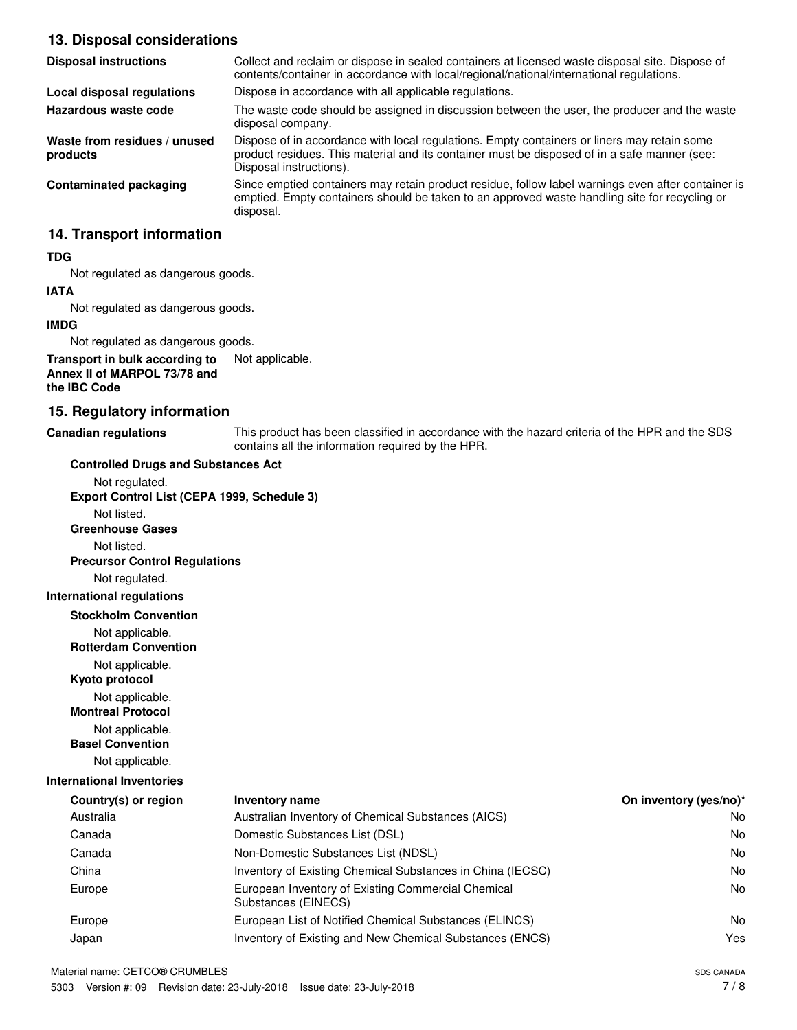#### **13. Disposal considerations**

| <b>Disposal instructions</b>             | Collect and reclaim or dispose in sealed containers at licensed waste disposal site. Dispose of<br>contents/container in accordance with local/regional/national/international regulations.                            |
|------------------------------------------|------------------------------------------------------------------------------------------------------------------------------------------------------------------------------------------------------------------------|
| Local disposal regulations               | Dispose in accordance with all applicable regulations.                                                                                                                                                                 |
| Hazardous waste code                     | The waste code should be assigned in discussion between the user, the producer and the waste<br>disposal company.                                                                                                      |
| Waste from residues / unused<br>products | Dispose of in accordance with local regulations. Empty containers or liners may retain some<br>product residues. This material and its container must be disposed of in a safe manner (see:<br>Disposal instructions). |
| <b>Contaminated packaging</b>            | Since emptied containers may retain product residue, follow label warnings even after container is<br>emptied. Empty containers should be taken to an approved waste handling site for recycling or<br>disposal.       |

#### **14. Transport information**

#### **TDG**

Not regulated as dangerous goods.

### **IATA**

Not regulated as dangerous goods.

#### **IMDG**

Not regulated as dangerous goods.

#### **Transport in bulk according to** Not applicable. **Annex II of MARPOL 73/78 and the IBC Code**

#### **15. Regulatory information**

**Canadian regulations**

This product has been classified in accordance with the hazard criteria of the HPR and the SDS contains all the information required by the HPR.

| <b>Controlled Drugs and Substances Act</b>     |                                                                           |                        |
|------------------------------------------------|---------------------------------------------------------------------------|------------------------|
| Not regulated.                                 |                                                                           |                        |
| Export Control List (CEPA 1999, Schedule 3)    |                                                                           |                        |
| Not listed.                                    |                                                                           |                        |
| <b>Greenhouse Gases</b>                        |                                                                           |                        |
| Not listed.                                    |                                                                           |                        |
| <b>Precursor Control Regulations</b>           |                                                                           |                        |
| Not regulated.                                 |                                                                           |                        |
| <b>International regulations</b>               |                                                                           |                        |
| <b>Stockholm Convention</b>                    |                                                                           |                        |
| Not applicable.<br><b>Rotterdam Convention</b> |                                                                           |                        |
| Not applicable.<br>Kyoto protocol              |                                                                           |                        |
| Not applicable.<br><b>Montreal Protocol</b>    |                                                                           |                        |
| Not applicable.<br><b>Basel Convention</b>     |                                                                           |                        |
| Not applicable.                                |                                                                           |                        |
| <b>International Inventories</b>               |                                                                           |                        |
| Country(s) or region                           | <b>Inventory name</b>                                                     | On inventory (yes/no)* |
| Australia                                      | Australian Inventory of Chemical Substances (AICS)                        | No.                    |
| Canada                                         | Domestic Substances List (DSL)                                            | No.                    |
| Canada                                         | Non-Domestic Substances List (NDSL)                                       | <b>No</b>              |
| China                                          | Inventory of Existing Chemical Substances in China (IECSC)                | No.                    |
| Europe                                         | European Inventory of Existing Commercial Chemical<br>Substances (EINECS) | <b>No</b>              |
| Europe                                         | European List of Notified Chemical Substances (ELINCS)                    | No.                    |
| Japan                                          | Inventory of Existing and New Chemical Substances (ENCS)                  | Yes                    |